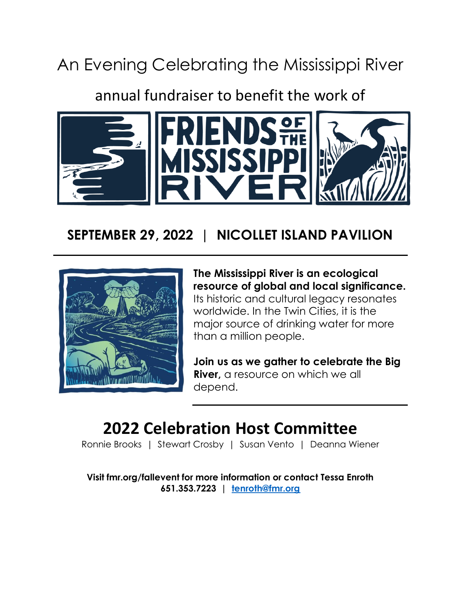# An Evening Celebrating the Mississippi River

## annual fundraiser to benefit the work of



### **SEPTEMBER 29, 2022 | NICOLLET ISLAND PAVILION**



**The Mississippi River is an ecological resource of global and local significance.**

Its historic and cultural legacy resonates worldwide. In the Twin Cities, it is the major source of drinking water for more than a million people.

**Join us as we gather to celebrate the Big River,** a resource on which we all depend.

# **2022 Celebration Host Committee**

Ronnie Brooks | Stewart Crosby | Susan Vento | Deanna Wiener

**Visit fmr.org/fallevent for more information or contact Tessa Enroth 651.353.7223 | [tenroth@fmr.org](mailto:tenroth@fmr.org)**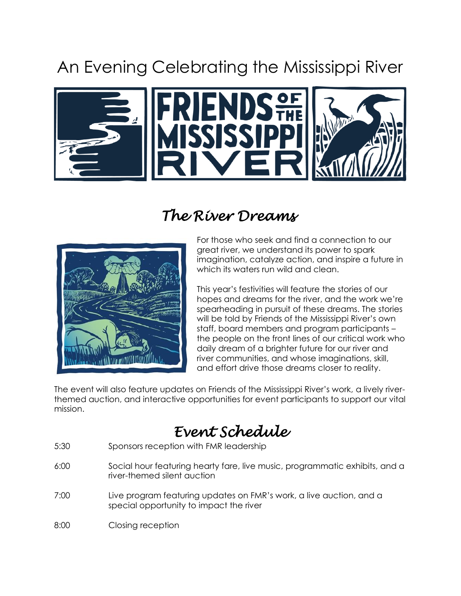# An Evening Celebrating the Mississippi River



### *The River Dreams*



For those who seek and find a connection to our great river, we understand its power to spark imagination, catalyze action, and inspire a future in which its waters run wild and clean.

This year's festivities will feature the stories of our hopes and dreams for the river, and the work we're spearheading in pursuit of these dreams. The stories will be told by Friends of the Mississippi River's own staff, board members and program participants – the people on the front lines of our critical work who daily dream of a brighter future for our river and river communities, and whose imaginations, skill, and effort drive those dreams closer to reality.

The event will also feature updates on Friends of the Mississippi River's work, a lively riverthemed auction, and interactive opportunities for event participants to support our vital mission.

## *Event Schedule*

- 5:30 Sponsors reception with FMR leadership
- 6:00 Social hour featuring hearty fare, live music, programmatic exhibits, and a river-themed silent auction
- 7:00 Live program featuring updates on FMR's work, a live auction, and a special opportunity to impact the river
- 8:00 Closing reception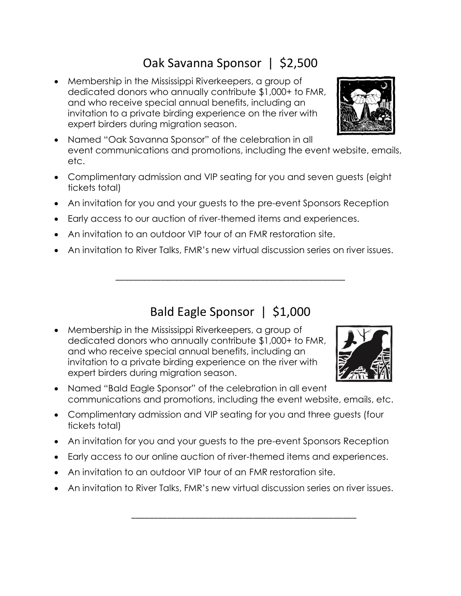#### Oak Savanna Sponsor | \$2,500

- Membership in the Mississippi Riverkeepers, a group of dedicated donors who annually contribute \$1,000+ to FMR, and who receive special annual benefits, including an invitation to a private birding experience on the river with expert birders during migration season.
- Named "Oak Savanna Sponsor" of the celebration in all event communications and promotions, including the event website, emails, etc.
- Complimentary admission and VIP seating for you and seven guests (eight tickets total)
- An invitation for you and your guests to the pre-event Sponsors Reception
- Early access to our auction of river-themed items and experiences.
- An invitation to an outdoor VIP tour of an FMR restoration site.
- An invitation to River Talks, FMR's new virtual discussion series on river issues.

#### Bald Eagle Sponsor | \$1,000

\_\_\_\_\_\_\_\_\_\_\_\_\_\_\_\_\_\_\_\_\_\_\_\_\_\_\_\_\_\_\_\_\_\_\_\_\_\_\_\_\_\_\_\_\_\_\_\_\_\_\_

- Membership in the Mississippi Riverkeepers, a group of dedicated donors who annually contribute \$1,000+ to FMR, and who receive special annual benefits, including an invitation to a private birding experience on the river with expert birders during migration season.
- Named "Bald Eagle Sponsor" of the celebration in all event communications and promotions, including the event website, emails, etc.
- Complimentary admission and VIP seating for you and three guests (four tickets total)
- An invitation for you and your guests to the pre-event Sponsors Reception
- Early access to our online auction of river-themed items and experiences.
- An invitation to an outdoor VIP tour of an FMR restoration site.
- An invitation to River Talks, FMR's new virtual discussion series on river issues.

\_\_\_\_\_\_\_\_\_\_\_\_\_\_\_\_\_\_\_\_\_\_\_\_\_\_\_\_\_\_\_\_\_\_\_\_\_\_\_\_\_\_\_\_\_\_\_\_\_\_



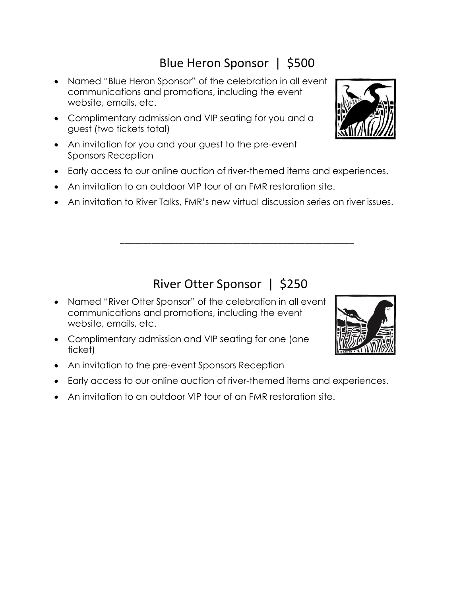### Blue Heron Sponsor | \$500

- Named "Blue Heron Sponsor" of the celebration in all event communications and promotions, including the event website, emails, etc.
- Complimentary admission and VIP seating for you and a guest (two tickets total)
- An invitation for you and your guest to the pre-event Sponsors Reception
- Early access to our online auction of river-themed items and experiences.
- An invitation to an outdoor VIP tour of an FMR restoration site.
- An invitation to River Talks, FMR's new virtual discussion series on river issues.

#### River Otter Sponsor | \$250

\_\_\_\_\_\_\_\_\_\_\_\_\_\_\_\_\_\_\_\_\_\_\_\_\_\_\_\_\_\_\_\_\_\_\_\_\_\_\_\_\_\_\_\_\_\_\_\_\_\_\_\_

- Named "River Otter Sponsor" of the celebration in all event communications and promotions, including the event website, emails, etc.
- Complimentary admission and VIP seating for one (one ticket)
- An invitation to the pre-event Sponsors Reception
- Early access to our online auction of river-themed items and experiences.
- An invitation to an outdoor VIP tour of an FMR restoration site.